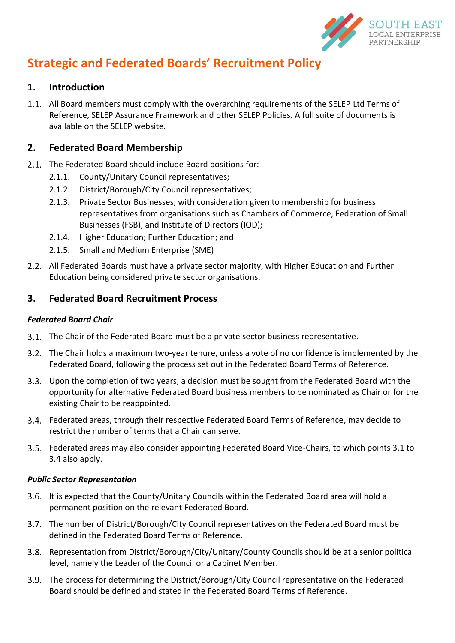

# **Strategic and Federated Boards' Recruitment Policy**

### **1. Introduction**

1.1. All Board members must comply with the overarching requirements of the SELEP Ltd Terms of Reference, SELEP Assurance Framework and other SELEP Policies. A full suite of documents is available on the SELEP website.

# **2. Federated Board Membership**

- 2.1. The Federated Board should include Board positions for:
	- 2.1.1. County/Unitary Council representatives;
	- 2.1.2. District/Borough/City Council representatives;
	- 2.1.3. Private Sector Businesses, with consideration given to membership for business representatives from organisations such as Chambers of Commerce, Federation of Small Businesses (FSB), and Institute of Directors (IOD);
	- 2.1.4. Higher Education; Further Education; and
	- 2.1.5. Small and Medium Enterprise (SME)
- All Federated Boards must have a private sector majority, with Higher Education and Further Education being considered private sector organisations.

# **3. Federated Board Recruitment Process**

#### *Federated Board Chair*

- <span id="page-0-0"></span>3.1. The Chair of the Federated Board must be a private sector business representative.
- The Chair holds a maximum two-year tenure, unless a vote of no confidence is implemented by the Federated Board, following the process set out in the Federated Board Terms of Reference.
- Upon the completion of two years, a decision must be sought from the Federated Board with the opportunity for alternative Federated Board business members to be nominated as Chair or for the existing Chair to be reappointed.
- <span id="page-0-1"></span>Federated areas, through their respective Federated Board Terms of Reference, may decide to restrict the number of terms that a Chair can serve.
- Federated areas may also consider appointing Federated Board Vice-Chairs, to which points [3.1](#page-0-0) to [3.4](#page-0-1) also apply.

#### *Public Sector Representation*

- 3.6. It is expected that the County/Unitary Councils within the Federated Board area will hold a permanent position on the relevant Federated Board.
- The number of District/Borough/City Council representatives on the Federated Board must be defined in the Federated Board Terms of Reference.
- 3.8. Representation from District/Borough/City/Unitary/County Councils should be at a senior political level, namely the Leader of the Council or a Cabinet Member.
- 3.9. The process for determining the District/Borough/City Council representative on the Federated Board should be defined and stated in the Federated Board Terms of Reference.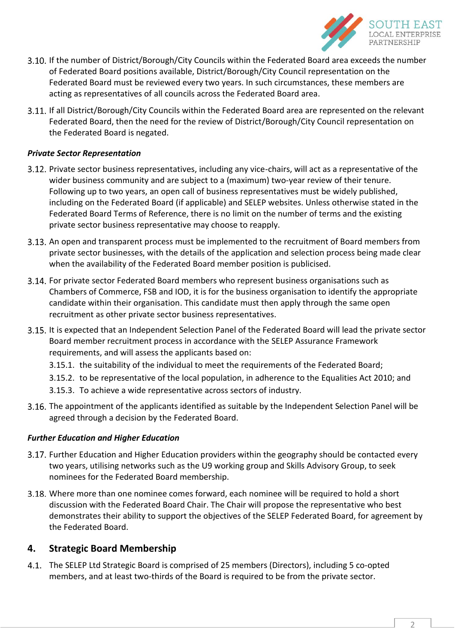

- 3.10. If the number of District/Borough/City Councils within the Federated Board area exceeds the number of Federated Board positions available, District/Borough/City Council representation on the Federated Board must be reviewed every two years. In such circumstances, these members are acting as representatives of all councils across the Federated Board area.
- 3.11. If all District/Borough/City Councils within the Federated Board area are represented on the relevant Federated Board, then the need for the review of District/Borough/City Council representation on the Federated Board is negated.

#### *Private Sector Representation*

- Private sector business representatives, including any vice-chairs, will act as a representative of the wider business community and are subject to a (maximum) two-year review of their tenure. Following up to two years, an open call of business representatives must be widely published, including on the Federated Board (if applicable) and SELEP websites. Unless otherwise stated in the Federated Board Terms of Reference, there is no limit on the number of terms and the existing private sector business representative may choose to reapply.
- An open and transparent process must be implemented to the recruitment of Board members from private sector businesses, with the details of the application and selection process being made clear when the availability of the Federated Board member position is publicised.
- For private sector Federated Board members who represent business organisations such as Chambers of Commerce, FSB and IOD, it is for the business organisation to identify the appropriate candidate within their organisation. This candidate must then apply through the same open recruitment as other private sector business representatives.
- 3.15. It is expected that an Independent Selection Panel of the Federated Board will lead the private sector Board member recruitment process in accordance with the SELEP Assurance Framework requirements, and will assess the applicants based on:
	- 3.15.1. the suitability of the individual to meet the requirements of the Federated Board;
	- 3.15.2. to be representative of the local population, in adherence to the Equalities Act 2010; and
	- 3.15.3. To achieve a wide representative across sectors of industry.
- The appointment of the applicants identified as suitable by the Independent Selection Panel will be agreed through a decision by the Federated Board.

#### *Further Education and Higher Education*

- 3.17. Further Education and Higher Education providers within the geography should be contacted every two years, utilising networks such as the U9 working group and Skills Advisory Group, to seek nominees for the Federated Board membership.
- Where more than one nominee comes forward, each nominee will be required to hold a short discussion with the Federated Board Chair. The Chair will propose the representative who best demonstrates their ability to support the objectives of the SELEP Federated Board, for agreement by the Federated Board.

# **4. Strategic Board Membership**

The SELEP Ltd Strategic Board is comprised of 25 members (Directors), including 5 co-opted members, and at least two-thirds of the Board is required to be from the private sector.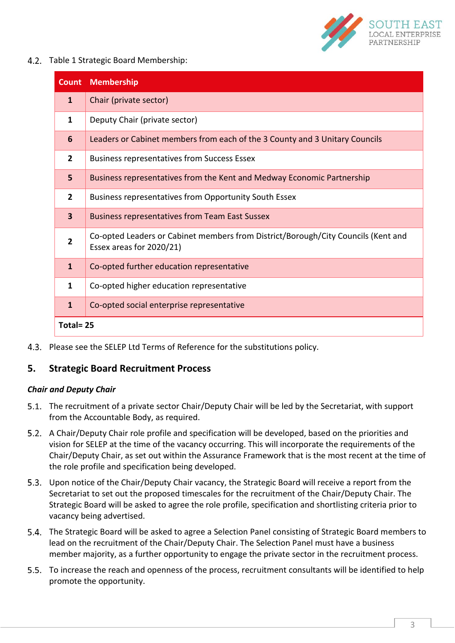

4.2. Table 1 Strategic Board Membership:

| <b>Count</b>            | <b>Membership</b>                                                                                             |
|-------------------------|---------------------------------------------------------------------------------------------------------------|
| $\mathbf{1}$            | Chair (private sector)                                                                                        |
| 1                       | Deputy Chair (private sector)                                                                                 |
| 6                       | Leaders or Cabinet members from each of the 3 County and 3 Unitary Councils                                   |
| $\overline{2}$          | <b>Business representatives from Success Essex</b>                                                            |
| 5                       | Business representatives from the Kent and Medway Economic Partnership                                        |
| $\overline{2}$          | Business representatives from Opportunity South Essex                                                         |
| $\overline{\mathbf{3}}$ | <b>Business representatives from Team East Sussex</b>                                                         |
| $\overline{2}$          | Co-opted Leaders or Cabinet members from District/Borough/City Councils (Kent and<br>Essex areas for 2020/21) |
| $\mathbf{1}$            | Co-opted further education representative                                                                     |
| 1                       | Co-opted higher education representative                                                                      |
| $\mathbf{1}$            | Co-opted social enterprise representative                                                                     |
| Total=25                |                                                                                                               |

Please see the SELEP Ltd Terms of Reference for the substitutions policy.

# **5. Strategic Board Recruitment Process**

#### *Chair and Deputy Chair*

- The recruitment of a private sector Chair/Deputy Chair will be led by the Secretariat, with support from the Accountable Body, as required.
- 5.2. A Chair/Deputy Chair role profile and specification will be developed, based on the priorities and vision for SELEP at the time of the vacancy occurring. This will incorporate the requirements of the Chair/Deputy Chair, as set out within the Assurance Framework that is the most recent at the time of the role profile and specification being developed.
- Upon notice of the Chair/Deputy Chair vacancy, the Strategic Board will receive a report from the Secretariat to set out the proposed timescales for the recruitment of the Chair/Deputy Chair. The Strategic Board will be asked to agree the role profile, specification and shortlisting criteria prior to vacancy being advertised.
- The Strategic Board will be asked to agree a Selection Panel consisting of Strategic Board members to lead on the recruitment of the Chair/Deputy Chair. The Selection Panel must have a business member majority, as a further opportunity to engage the private sector in the recruitment process.
- 5.5. To increase the reach and openness of the process, recruitment consultants will be identified to help promote the opportunity.